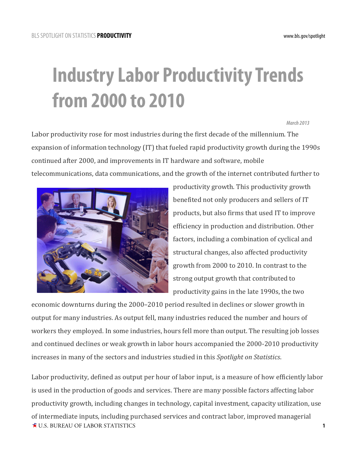# **Industry Labor Productivity Trends from 2000 to 2010**

*March 2013*

Labor productivity rose for most industries during the first decade of the millennium. The expansion of information technology (IT) that fueled rapid productivity growth during the 1990s continued after 2000, and improvements in IT hardware and software, mobile telecommunications, data communications, and the growth of the internet contributed further to



productivity growth. This productivity growth benefited not only producers and sellers of IT products, but also firms that used IT to improve efficiency in production and distribution. Other factors, including a combination of cyclical and structural changes, also affected productivity growth from 2000 to 2010. In contrast to the strong output growth that contributed to productivity gains in the late 1990s, the two

economic downturns during the 2000–2010 period resulted in declines or slower growth in output for many industries. As output fell, many industries reduced the number and hours of workers they employed. In some industries, hours fell more than output. The resulting job losses and continued declines or weak growth in labor hours accompanied the 2000-2010 productivity increases in many of the sectors and industries studied in this *Spotlight on Statistics*.

U.S. BUREAU OF LABOR STATISTICS **1** Labor productivity, defined as output per hour of labor input, is a measure of how efficiently labor is used in the production of goods and services. There are many possible factors affecting labor productivity growth, including changes in technology, capital investment, capacity utilization, use of intermediate inputs, including purchased services and contract labor, improved managerial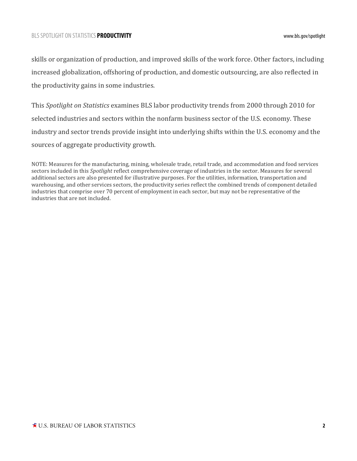#### BLS SPOTLIGHT ON STATISTICS **PRODUCTIVITY** www.bls.gov/spotlight

skills or organization of production, and improved skills of the work force. Other factors, including increased globalization, offshoring of production, and domestic outsourcing, are also reflected in the productivity gains in some industries.

This *Spotlight on Statistics* examines BLS labor productivity trends from 2000 through 2010 for selected industries and sectors within the nonfarm business sector of the U.S. economy. These industry and sector trends provide insight into underlying shifts within the U.S. economy and the sources of aggregate productivity growth.

NOTE: Measures for the manufacturing, mining, wholesale trade, retail trade, and accommodation and food services sectors included in this *Spotlight* reflect comprehensive coverage of industries in the sector. Measures for several additional sectors are also presented for illustrative purposes. For the utilities, information, transportation and warehousing, and other services sectors, the productivity series reflect the combined trends of component detailed industries that comprise over 70 percent of employment in each sector, but may not be representative of the industries that are not included.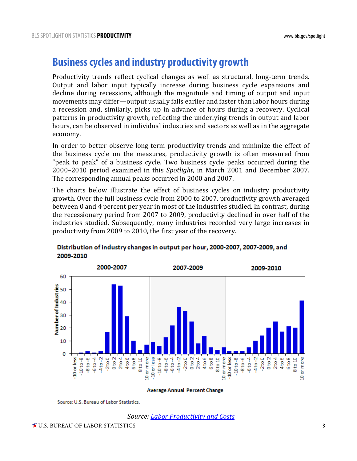### **Business cycles and industry productivity growth**

Productivity trends reflect cyclical changes as well as structural, long-term trends. Output and labor input typically increase during business cycle expansions and decline during recessions, although the magnitude and timing of output and input movements may differ—output usually falls earlier and faster than labor hours during a recession and, similarly, picks up in advance of hours during a recovery. Cyclical patterns in productivity growth, reflecting the underlying trends in output and labor hours, can be observed in individual industries and sectors as well as in the aggregate economy.

In order to better observe long-term productivity trends and minimize the effect of the business cycle on the measures, productivity growth is often measured from "peak to peak" of a business cycle. Two business cycle peaks occurred during the 2000–2010 period examined in this *Spotlight*, in March 2001 and December 2007. The corresponding annual peaks occurred in 2000 and 2007.

The charts below illustrate the effect of business cycles on industry productivity growth. Over the full business cycle from 2000 to 2007, productivity growth averaged between 0 and 4 percent per year in most of the industries studied. In contrast, during the recessionary period from 2007 to 2009, productivity declined in over half of the industries studied. Subsequently, many industries recorded very large increases in productivity from 2009 to 2010, the first year of the recovery.



Distribution of industry changes in output per hour, 2000-2007, 2007-2009, and 2009-2010

**Average Annual Percent Change** 

Source: U.S. Bureau of Labor Statistics.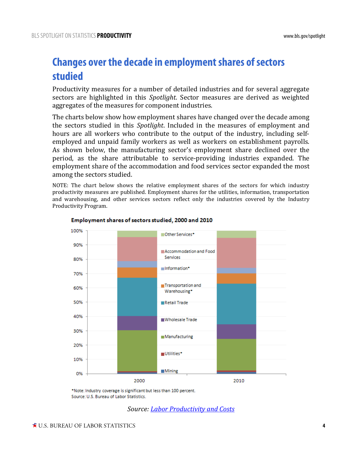### **Changes over the decade in employment shares of sectors studied**

Productivity measures for a number of detailed industries and for several aggregate sectors are highlighted in this *Spotlight*. Sector measures are derived as weighted aggregates of the measures for component industries.

The charts below show how employment shares have changed over the decade among the sectors studied in this *Spotlight*. Included in the measures of employment and hours are all workers who contribute to the output of the industry, including selfemployed and unpaid family workers as well as workers on establishment payrolls. As shown below, the manufacturing sector's employment share declined over the period, as the share attributable to service-providing industries expanded. The employment share of the accommodation and food services sector expanded the most among the sectors studied.

NOTE: The chart below shows the relative employment shares of the sectors for which industry productivity measures are published. Employment shares for the utilities, information, transportation and warehousing, and other services sectors reflect only the industries covered by the Industry Productivity Program.



#### Employment shares of sectors studied, 2000 and 2010

\*Note: Industry coverage is significant but less than 100 percent. Source: U.S. Bureau of Labor Statistics.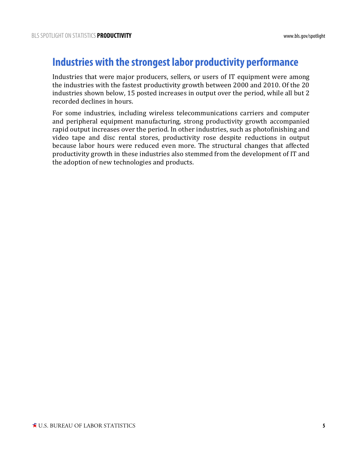### **Industries with the strongest labor productivity performance**

Industries that were major producers, sellers, or users of IT equipment were among the industries with the fastest productivity growth between 2000 and 2010. Of the 20 industries shown below, 15 posted increases in output over the period, while all but 2 recorded declines in hours.

For some industries, including wireless telecommunications carriers and computer and peripheral equipment manufacturing, strong productivity growth accompanied rapid output increases over the period. In other industries, such as photofinishing and video tape and disc rental stores, productivity rose despite reductions in output because labor hours were reduced even more. The structural changes that affected productivity growth in these industries also stemmed from the development of IT and the adoption of new technologies and products.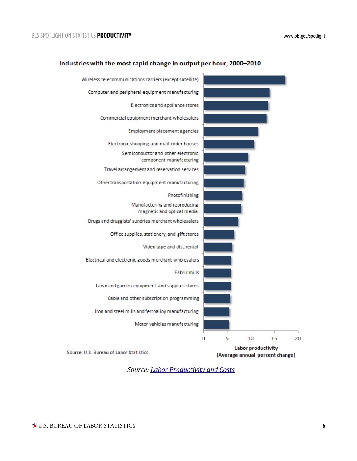| urca: LLC. Ruraau of Labor Ctatictics                         |   | <b>Labor productivity</b> |    |    |    |
|---------------------------------------------------------------|---|---------------------------|----|----|----|
|                                                               | 0 | 5                         | 10 | 15 | 20 |
| Motor vehicles manufacturing                                  |   |                           |    |    |    |
| Iron and steel mills and ferroalloy manufacturing             |   |                           |    |    |    |
| Cable and other subscription programming                      |   |                           |    |    |    |
| Lawn and garden equipment and supplies stores                 |   |                           |    |    |    |
| <b>Fabric mills</b>                                           |   |                           |    |    |    |
| Electrical and electronic goods merchant wholesalers          |   |                           |    |    |    |
| Video tape and disc rental                                    |   |                           |    |    |    |
| Office supplies, stationery, and gift stores                  |   |                           |    |    |    |
| Drugs and druggists' sundries merchant wholesalers            |   |                           |    |    |    |
| Manufacturing and reproducing<br>magnetic and optical media   |   |                           |    |    |    |
| Photofinishing                                                |   |                           |    |    |    |
| Other transportation equipment manufacturing                  |   |                           |    |    |    |
| Travel arrangement and reservation services                   |   |                           |    |    |    |
| Semiconductor and other electronic<br>component manufacturing |   |                           |    |    |    |
| Electronic shopping and mail-order houses                     |   |                           |    |    |    |
| Employment placement agencies                                 |   |                           |    |    |    |
| Commercial equipment merchant wholesalers                     |   |                           |    |    |    |
| Electronics and appliance stores                              |   |                           |    |    |    |
| Computer and peripheral equipment manufacturing               |   |                           |    |    |    |
| Wireless telecommunications carriers (except satellite)       |   |                           |    |    |    |

#### Industries with the most rapid change in output per hour, 2000-2010

Source: U.S. Bureau of Labor Statistics.

(Average annual percent change)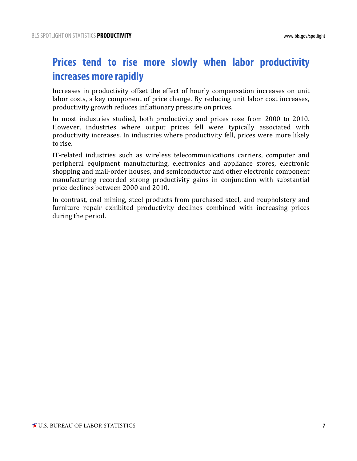### **Prices tend to rise more slowly when labor productivity increases more rapidly**

Increases in productivity offset the effect of hourly compensation increases on unit labor costs, a key component of price change. By reducing unit labor cost increases, productivity growth reduces inflationary pressure on prices.

In most industries studied, both productivity and prices rose from 2000 to 2010. However, industries where output prices fell were typically associated with productivity increases. In industries where productivity fell, prices were more likely to rise.

IT-related industries such as wireless telecommunications carriers, computer and peripheral equipment manufacturing, electronics and appliance stores, electronic shopping and mail-order houses, and semiconductor and other electronic component manufacturing recorded strong productivity gains in conjunction with substantial price declines between 2000 and 2010.

In contrast, coal mining, steel products from purchased steel, and reupholstery and furniture repair exhibited productivity declines combined with increasing prices during the period.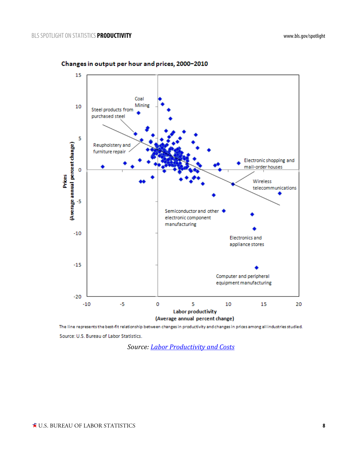

Changes in output per hour and prices, 2000-2010

The line represents the best-fit relationship between changes in productivity and changes in prices among all industries studied. Source: U.S. Bureau of Labor Statistics.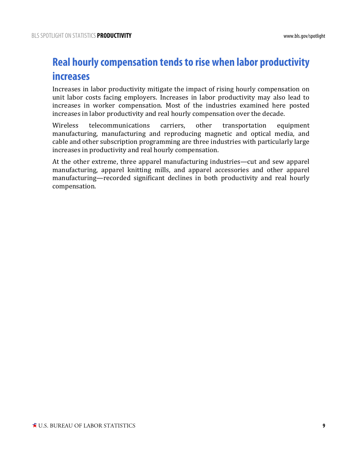# **Real hourly compensation tends to rise when labor productivity increases**

Increases in labor productivity mitigate the impact of rising hourly compensation on unit labor costs facing employers. Increases in labor productivity may also lead to increases in worker compensation. Most of the industries examined here posted increases in labor productivity and real hourly compensation over the decade.

Wireless telecommunications carriers, other transportation equipment manufacturing, manufacturing and reproducing magnetic and optical media, and cable and other subscription programming are three industries with particularly large increases in productivity and real hourly compensation.

At the other extreme, three apparel manufacturing industries—cut and sew apparel manufacturing, apparel knitting mills, and apparel accessories and other apparel manufacturing—recorded significant declines in both productivity and real hourly compensation.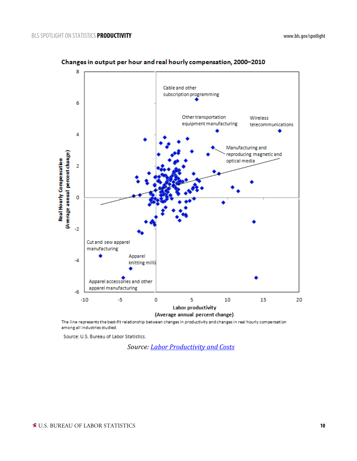

Changes in output per hour and real hourly compensation, 2000-2010

The line represents the best-fit relationship between changes in productivity and changes in real hourly compensation among all industries studied.

Source: U.S. Bureau of Labor Statistics.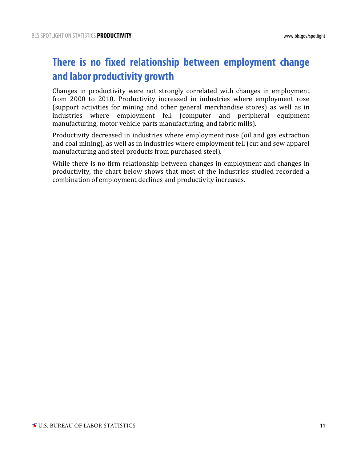# **There is no fixed relationship between employment change and labor productivity growth**

Changes in productivity were not strongly correlated with changes in employment from 2000 to 2010. Productivity increased in industries where employment rose (support activities for mining and other general merchandise stores) as well as in industries where employment fell (computer and peripheral equipment manufacturing, motor vehicle parts manufacturing, and fabric mills).

Productivity decreased in industries where employment rose (oil and gas extraction and coal mining), as well as in industries where employment fell (cut and sew apparel manufacturing and steel products from purchased steel).

While there is no firm relationship between changes in employment and changes in productivity, the chart below shows that most of the industries studied recorded a combination of employment declines and productivity increases.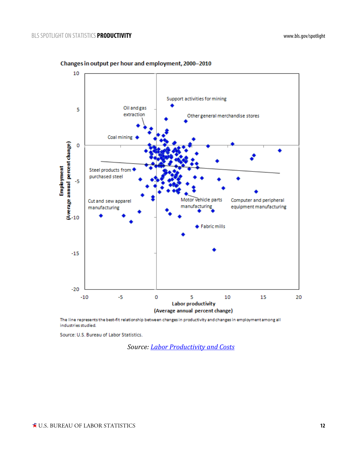

Changes in output per hour and employment, 2000-2010

The line represents the best-fit relationship between changes in productivity and changes in employment among all industries studied.

Source: U.S. Bureau of Labor Statistics.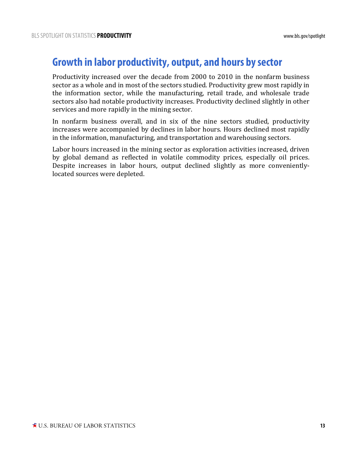### **Growth in labor productivity, output, and hours by sector**

Productivity increased over the decade from 2000 to 2010 in the nonfarm business sector as a whole and in most of the sectors studied. Productivity grew most rapidly in the information sector, while the manufacturing, retail trade, and wholesale trade sectors also had notable productivity increases. Productivity declined slightly in other services and more rapidly in the mining sector.

In nonfarm business overall, and in six of the nine sectors studied, productivity increases were accompanied by declines in labor hours. Hours declined most rapidly in the information, manufacturing, and transportation and warehousing sectors.

Labor hours increased in the mining sector as exploration activities increased, driven by global demand as reflected in volatile commodity prices, especially oil prices. Despite increases in labor hours, output declined slightly as more convenientlylocated sources were depleted.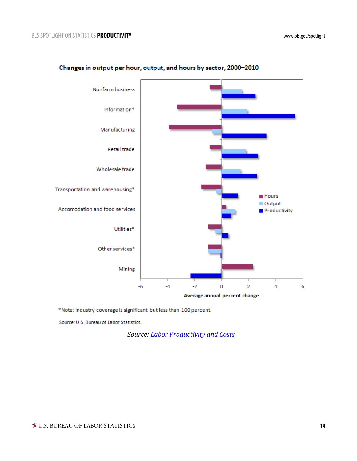

Changes in output per hour, output, and hours by sector, 2000-2010

\*Note: Industry coverage is significant but less than 100 percent.

Source: U.S. Bureau of Labor Statistics.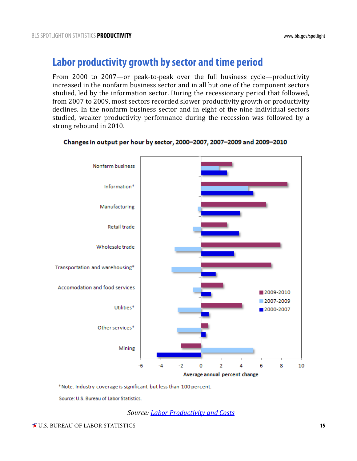### **Labor productivity growth by sector and time period**

From 2000 to 2007—or peak-to-peak over the full business cycle—productivity increased in the nonfarm business sector and in all but one of the component sectors studied, led by the information sector. During the recessionary period that followed, from 2007 to 2009, most sectors recorded slower productivity growth or productivity declines. In the nonfarm business sector and in eight of the nine individual sectors studied, weaker productivity performance during the recession was followed by a strong rebound in 2010.



#### Changes in output per hour by sector, 2000-2007, 2007-2009 and 2009-2010

\*Note: Industry coverage is significant but less than 100 percent.

Source: U.S. Bureau of Labor Statistics.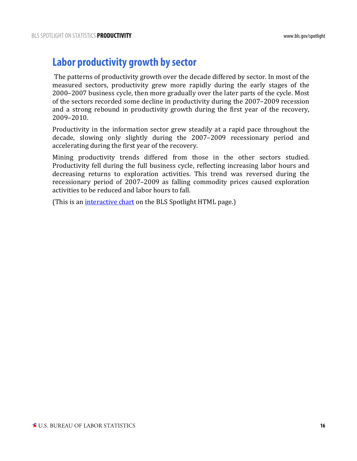### **Labor productivity growth by sector**

The patterns of productivity growth over the decade differed by sector. In most of the measured sectors, productivity grew more rapidly during the early stages of the 2000–2007 business cycle, then more gradually over the later parts of the cycle. Most of the sectors recorded some decline in productivity during the 2007–2009 recession and a strong rebound in productivity growth during the first year of the recovery, 2009–2010.

Productivity in the information sector grew steadily at a rapid pace throughout the decade, slowing only slightly during the 2007–2009 recessionary period and accelerating during the first year of the recovery.

Mining productivity trends differed from those in the other sectors studied. Productivity fell during the full business cycle, reflecting increasing labor hours and decreasing returns to exploration activities. This trend was reversed during the recessionary period of 2007–2009 as falling commodity prices caused exploration activities to be reduced and labor hours to fall.

(This is an [interactive chart](http://www.bls.gov/spotlight/2013/productivity/home.htm#growth_by_sector) on the BLS Spotlight HTML page.)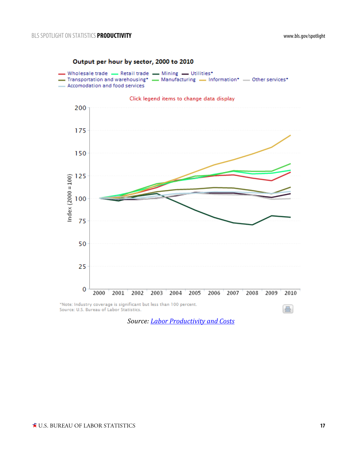#### Output per hour by sector, 2000 to 2010



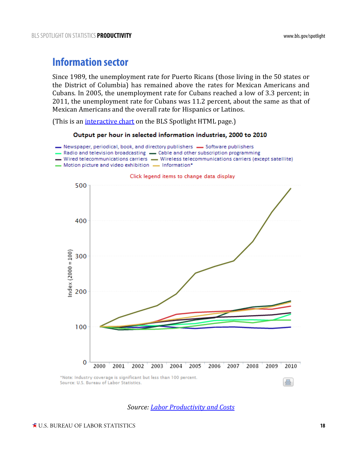#### **Information sector**

Since 1989, the unemployment rate for Puerto Ricans (those living in the 50 states or the District of Columbia) has remained above the rates for Mexican Americans and Cubans. In 2005, the unemployment rate for Cubans reached a low of 3.3 percent; in 2011, the unemployment rate for Cubans was 11.2 percent, about the same as that of Mexican Americans and the overall rate for Hispanics or Latinos.

(This is an *interactive chart* on the BLS Spotlight HTML page.)

#### Output per hour in selected information industries, 2000 to 2010

- Newspaper, periodical, book, and directory publishers - Software publishers

Radio and television broadcasting - Cable and other subscription programming

Wired telecommunications carriers - Wireless telecommunications carriers (except satellite)

- Motion picture and video exhibition - Information\*



Click legend items to change data display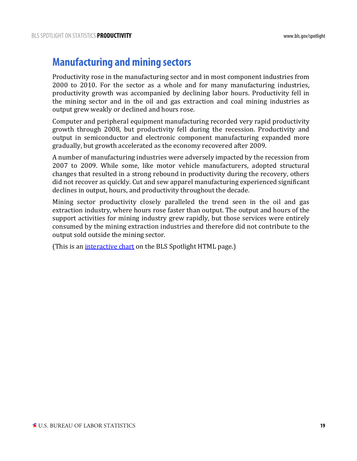### **Manufacturing and mining sectors**

Productivity rose in the manufacturing sector and in most component industries from 2000 to 2010. For the sector as a whole and for many manufacturing industries, productivity growth was accompanied by declining labor hours. Productivity fell in the mining sector and in the oil and gas extraction and coal mining industries as output grew weakly or declined and hours rose.

Computer and peripheral equipment manufacturing recorded very rapid productivity growth through 2008, but productivity fell during the recession. Productivity and output in semiconductor and electronic component manufacturing expanded more gradually, but growth accelerated as the economy recovered after 2009.

A number of manufacturing industries were adversely impacted by the recession from 2007 to 2009. While some, like motor vehicle manufacturers, adopted structural changes that resulted in a strong rebound in productivity during the recovery, others did not recover as quickly. Cut and sew apparel manufacturing experienced significant declines in output, hours, and productivity throughout the decade.

Mining sector productivity closely paralleled the trend seen in the oil and gas extraction industry, where hours rose faster than output. The output and hours of the support activities for mining industry grew rapidly, but those services were entirely consumed by the mining extraction industries and therefore did not contribute to the output sold outside the mining sector.

(This is an *interactive chart* on the BLS Spotlight HTML page.)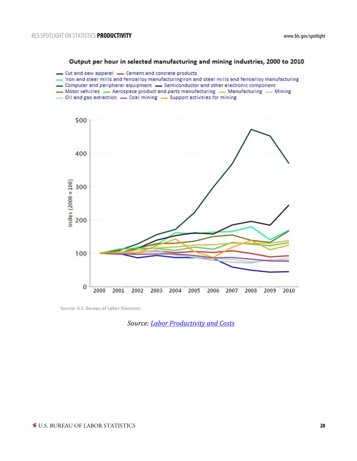





Source: U.S. Bureau of Labor Statistics.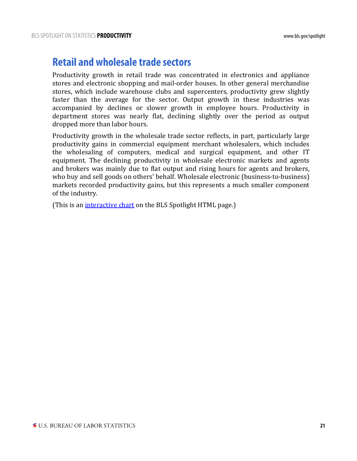### **Retail and wholesale trade sectors**

Productivity growth in retail trade was concentrated in electronics and appliance stores and electronic shopping and mail-order houses. In other general merchandise stores, which include warehouse clubs and supercenters, productivity grew slightly faster than the average for the sector. Output growth in these industries was accompanied by declines or slower growth in employee hours. Productivity in department stores was nearly flat, declining slightly over the period as output dropped more than labor hours.

Productivity growth in the wholesale trade sector reflects, in part, particularly large productivity gains in commercial equipment merchant wholesalers, which includes the wholesaling of computers, medical and surgical equipment, and other IT equipment. The declining productivity in wholesale electronic markets and agents and brokers was mainly due to flat output and rising hours for agents and brokers, who buy and sell goods on others' behalf. Wholesale electronic (business-to-business) markets recorded productivity gains, but this represents a much smaller component of the industry.

(This is an *interactive chart* on the BLS Spotlight HTML page.)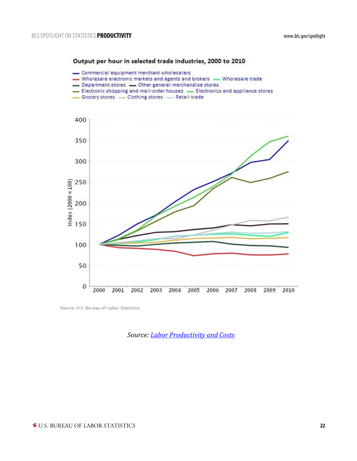#### Output per hour in selected trade industries, 2000 to 2010

- Commercial equipment merchant wholesalers
- Wholesale electronic markets and agents and brokers Wholesale trade
- Department stores Other general merchandise stores
- Electronic shopping and mail-order houses Electronics and appliance stores
- Grocery stores Clothing stores Retail trade



Source: U.S. Bureau of Labor Statistics.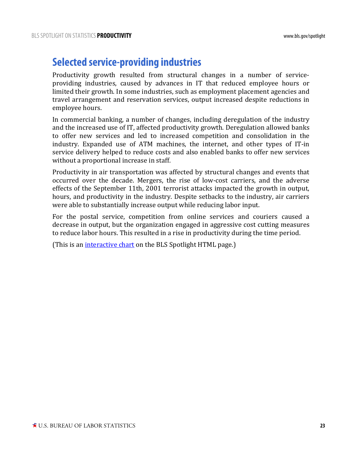### **Selected service-providing industries**

Productivity growth resulted from structural changes in a number of serviceproviding industries, caused by advances in IT that reduced employee hours or limited their growth. In some industries, such as employment placement agencies and travel arrangement and reservation services, output increased despite reductions in employee hours.

In commercial banking, a number of changes, including deregulation of the industry and the increased use of IT, affected productivity growth. Deregulation allowed banks to offer new services and led to increased competition and consolidation in the industry. Expanded use of ATM machines, the internet, and other types of IT-in service delivery helped to reduce costs and also enabled banks to offer new services without a proportional increase in staff.

Productivity in air transportation was affected by structural changes and events that occurred over the decade. Mergers, the rise of low-cost carriers, and the adverse effects of the September 11th, 2001 terrorist attacks impacted the growth in output, hours, and productivity in the industry. Despite setbacks to the industry, air carriers were able to substantially increase output while reducing labor input.

For the postal service, competition from online services and couriers caused a decrease in output, but the organization engaged in aggressive cost cutting measures to reduce labor hours. This resulted in a rise in productivity during the time period.

(This is an *interactive chart* on the BLS Spotlight HTML page.)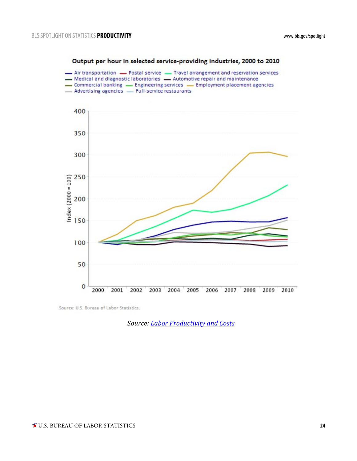#### Output per hour in selected service-providing industries, 2000 to 2010



Source: U.S. Bureau of Labor Statistics.